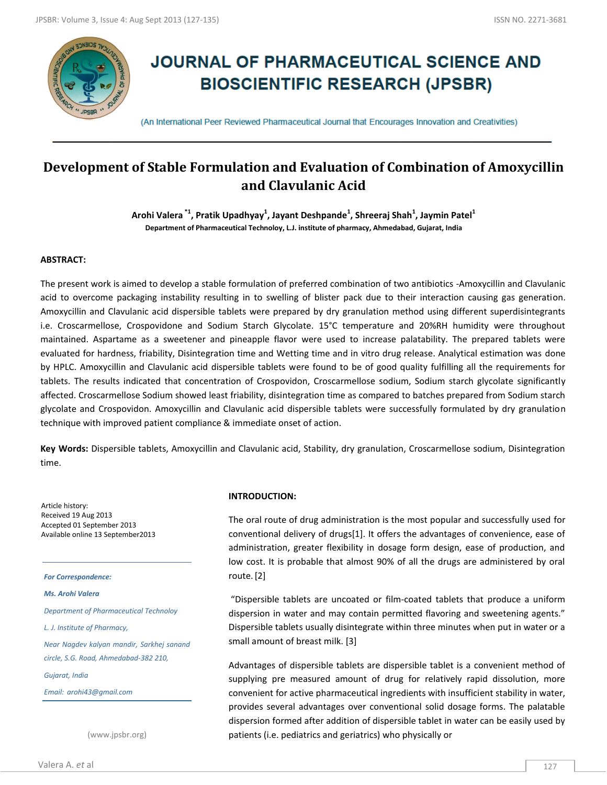

# **JOURNAL OF PHARMACEUTICAL SCIENCE AND BIOSCIENTIFIC RESEARCH (JPSBR)**

(An International Peer Reviewed Pharmaceutical Journal that Encourages Innovation and Creativities)

## **Development of Stable Formulation and Evaluation of Combination of Amoxycillin and Clavulanic Acid**

**Arohi Valera \*1, Pratik Upadhyay<sup>1</sup> , Jayant Deshpande<sup>1</sup> , Shreeraj Shah<sup>1</sup> , Jaymin Patel<sup>1</sup> Department of Pharmaceutical Technoloy, L.J. institute of pharmacy, Ahmedabad, Gujarat, India**

## **ABSTRACT:**

The present work is aimed to develop a stable formulation of preferred combination of two antibiotics -Amoxycillin and Clavulanic acid to overcome packaging instability resulting in to swelling of blister pack due to their interaction causing gas generation. Amoxycillin and Clavulanic acid dispersible tablets were prepared by dry granulation method using different superdisintegrants i.e. Croscarmellose, Crospovidone and Sodium Starch Glycolate. 15°C temperature and 20%RH humidity were throughout maintained. Aspartame as a sweetener and pineapple flavor were used to increase palatability. The prepared tablets were evaluated for hardness, friability, Disintegration time and Wetting time and in vitro drug release. Analytical estimation was done by HPLC. Amoxycillin and Clavulanic acid dispersible tablets were found to be of good quality fulfilling all the requirements for tablets. The results indicated that concentration of Crospovidon, Croscarmellose sodium, Sodium starch glycolate significantly affected. Croscarmellose Sodium showed least friability, disintegration time as compared to batches prepared from Sodium starch glycolate and Crospovidon. Amoxycillin and Clavulanic acid dispersible tablets were successfully formulated by dry granulation technique with improved patient compliance & immediate onset of action.

**Key Words:** Dispersible tablets, Amoxycillin and Clavulanic acid, Stability, dry granulation, Croscarmellose sodium, Disintegration time.

Article history: Received 19 Aug 2013 Accepted 01 September 2013 Available online 13 September2013

#### *For Correspondence:*

#### *Ms. Arohi Valera*

*Department of Pharmaceutical Technoloy*

*L. J. Institute of Pharmacy,*

*Near Nagdev kalyan mandir, Sarkhej sanand circle, S.G. Road, Ahmedabad-382 210,* 

*Gujarat, India*

*Email: arohi43@gmail.com*

(www.jpsbr.org)

#### **INTRODUCTION:**

The oral route of drug administration is the most popular and successfully used for conventional delivery of drugs[1]. It offers the advantages of convenience, ease of administration, greater flexibility in dosage form design, ease of production, and low cost. It is probable that almost 90% of all the drugs are administered by oral route.[2]

"Dispersible tablets are uncoated or film-coated tablets that produce a uniform dispersion in water and may contain permitted flavoring and sweetening agents." Dispersible tablets usually disintegrate within three minutes when put in water or a small amount of breast milk. [3]

Advantages of dispersible tablets are dispersible tablet is a convenient method of supplying pre measured amount of drug for relatively rapid dissolution, more convenient for active pharmaceutical ingredients with insufficient stability in water, provides several advantages over conventional solid dosage forms. The palatable dispersion formed after addition of dispersible tablet in water can be easily used by patients (i.e. pediatrics and geriatrics) who physically or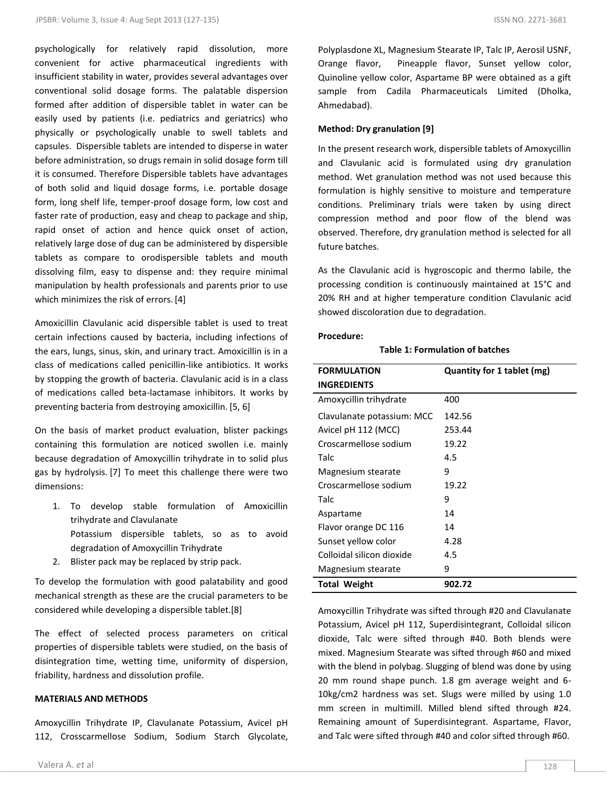psychologically for relatively rapid dissolution, more convenient for active pharmaceutical ingredients with insufficient stability in water, provides several advantages over conventional solid dosage forms. The palatable dispersion formed after addition of dispersible tablet in water can be easily used by patients (i.e. pediatrics and geriatrics) who physically or psychologically unable to swell tablets and capsules. Dispersible tablets are intended to disperse in water before administration, so drugs remain in solid dosage form till it is consumed. Therefore Dispersible tablets have advantages of both solid and liquid dosage forms, i.e. portable dosage form, long shelf life, temper-proof dosage form, low cost and faster rate of production, easy and cheap to package and ship, rapid onset of action and hence quick onset of action, relatively large dose of dug can be administered by dispersible tablets as compare to orodispersible tablets and mouth dissolving film, easy to dispense and: they require minimal manipulation by health professionals and parents prior to use which minimizes the risk of errors. [4]

Amoxicillin Clavulanic acid dispersible tablet is used to treat certain infections caused by bacteria, including infections of the ears, lungs, sinus, skin, and urinary tract. Amoxicillin is in a class of medications called penicillin-like antibiotics. It works by stopping the growth of bacteria. Clavulanic acid is in a class of medications called beta-lactamase inhibitors. It works by preventing bacteria from destroying amoxicillin. [5, 6]

On the basis of market product evaluation, blister packings containing this formulation are noticed swollen i.e. mainly because degradation of Amoxycillin trihydrate in to solid plus gas by hydrolysis. [7] To meet this challenge there were two dimensions:

- 1. To develop stable formulation of Amoxicillin trihydrate and Clavulanate Potassium dispersible tablets, so as to avoid degradation of Amoxycillin Trihydrate
- 2. Blister pack may be replaced by strip pack.

To develop the formulation with good palatability and good mechanical strength as these are the crucial parameters to be considered while developing a dispersible tablet.[8]

The effect of selected process parameters on critical properties of dispersible tablets were studied, on the basis of disintegration time, wetting time, uniformity of dispersion, friability, hardness and dissolution profile.

## **MATERIALS AND METHODS**

Amoxycillin Trihydrate IP, Clavulanate Potassium, Avicel pH 112, Crosscarmellose Sodium, Sodium Starch Glycolate, Polyplasdone XL, Magnesium Stearate IP, Talc IP, Aerosil USNF, Orange flavor, Pineapple flavor, Sunset yellow color, Quinoline yellow color, Aspartame BP were obtained as a gift sample from Cadila Pharmaceuticals Limited (Dholka, Ahmedabad).

#### **Method: Dry granulation [9]**

In the present research work, dispersible tablets of Amoxycillin and Clavulanic acid is formulated using dry granulation method. Wet granulation method was not used because this formulation is highly sensitive to moisture and temperature conditions. Preliminary trials were taken by using direct compression method and poor flow of the blend was observed. Therefore, dry granulation method is selected for all future batches.

As the Clavulanic acid is hygroscopic and thermo labile, the processing condition is continuously maintained at 15°C and 20% RH and at higher temperature condition Clavulanic acid showed discoloration due to degradation.

#### **Procedure:**

## **Table 1: Formulation of batches**

| <b>FORMULATION</b>         | Quantity for 1 tablet (mg) |
|----------------------------|----------------------------|
| INGREDIENTS                |                            |
| Amoxycillin trihydrate     | 400                        |
| Clavulanate potassium: MCC | 142.56                     |
| Avicel pH 112 (MCC)        | 253.44                     |
| Croscarmellose sodium      | 19.22                      |
| Talc                       | 4.5                        |
| Magnesium stearate         | 9                          |
| Croscarmellose sodium      | 19.22                      |
| Talc                       | 9                          |
| Aspartame                  | 14                         |
| Flavor orange DC 116       | 14                         |
| Sunset yellow color        | 4.28                       |
| Colloidal silicon dioxide  | 4.5                        |
| Magnesium stearate         | 9                          |
| <b>Total Weight</b>        | 902.72                     |

Amoxycillin Trihydrate was sifted through #20 and Clavulanate Potassium, Avicel pH 112, Superdisintegrant, Colloidal silicon dioxide, Talc were sifted through #40. Both blends were mixed. Magnesium Stearate was sifted through #60 and mixed with the blend in polybag. Slugging of blend was done by using 20 mm round shape punch. 1.8 gm average weight and 6- 10kg/cm2 hardness was set. Slugs were milled by using 1.0 mm screen in multimill. Milled blend sifted through #24. Remaining amount of Superdisintegrant. Aspartame, Flavor, and Talc were sifted through #40 and color sifted through #60.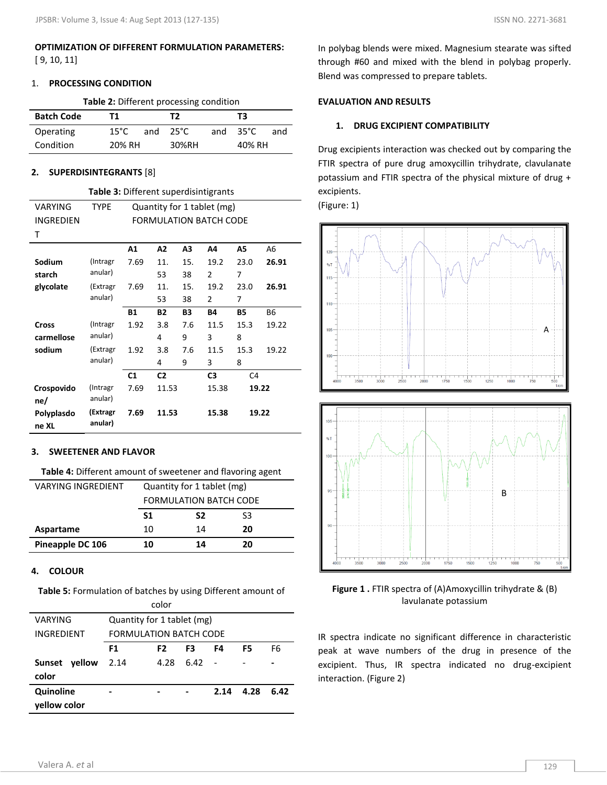## **OPTIMIZATION OF DIFFERENT FORMULATION PARAMETERS:** [ 9, 10, 11]

#### 1. **PROCESSING CONDITION**

**Table 2:** Different processing condition

| <b>Batch Code</b> | т1              |     | Т2    |     | тз     |     |  |
|-------------------|-----------------|-----|-------|-----|--------|-----|--|
| Operating         | $15^{\circ}$ C. | and | 25°C  | and | 35°C   | and |  |
| Condition         | 20% RH          |     | 30%RH |     | 40% RH |     |  |

#### **2. SUPERDISINTEGRANTS** [8]

|                     | <b>Table 3:</b> Different superdisintigrants |                            |                |     |                               |                |           |  |  |  |  |  |
|---------------------|----------------------------------------------|----------------------------|----------------|-----|-------------------------------|----------------|-----------|--|--|--|--|--|
| VARYING             | <b>TYPE</b>                                  | Quantity for 1 tablet (mg) |                |     |                               |                |           |  |  |  |  |  |
| INGREDIEN           |                                              |                            |                |     | <b>FORMULATION BATCH CODE</b> |                |           |  |  |  |  |  |
| Т                   |                                              |                            |                |     |                               |                |           |  |  |  |  |  |
|                     |                                              | A1                         | A2             | А3  | Α4                            | A5             | A6        |  |  |  |  |  |
| Sodium              | (Intragr                                     | 7.69                       | 11.            | 15. | 19.2                          | 23.0           | 26.91     |  |  |  |  |  |
| starch              | anular)                                      |                            | 53             | 38  | $\overline{2}$                | 7              |           |  |  |  |  |  |
| glycolate           | (Extragr                                     | 7.69                       | 11.            | 15. | 19.2                          | 23.0           | 26.91     |  |  |  |  |  |
|                     | anular)                                      |                            | 53             | 38  | 2                             | 7              |           |  |  |  |  |  |
|                     |                                              | <b>B1</b>                  | <b>B2</b>      | B3  | <b>B4</b>                     | <b>B5</b>      | <b>B6</b> |  |  |  |  |  |
| Cross               | (Intragr                                     | 1.92                       | 3.8            | 7.6 | 11.5                          | 15.3           | 19.22     |  |  |  |  |  |
| carmellose          | anular)                                      |                            | 4              | 9   | 3                             | 8              |           |  |  |  |  |  |
| sodium              | (Extragr                                     | 1.92                       | 3.8            | 7.6 | 11.5                          | 15.3           | 19.22     |  |  |  |  |  |
|                     | anular)                                      |                            | 4              | 9   | 3                             | 8              |           |  |  |  |  |  |
|                     |                                              | C <sub>1</sub>             | C <sub>2</sub> |     | C <sub>3</sub>                | C <sub>4</sub> |           |  |  |  |  |  |
| Crospovido<br>ne/   | (Intragr<br>anular)                          | 7.69                       | 11.53          |     | 15.38                         | 19.22          |           |  |  |  |  |  |
| Polyplasdo<br>ne XL | (Extragr<br>anular)                          | 7.69                       | 11.53          |     | 15.38                         | 19.22          |           |  |  |  |  |  |

#### **3. SWEETENER AND FLAVOR**

| Table 4: Different amount of sweetener and flavoring agent |  |
|------------------------------------------------------------|--|
|------------------------------------------------------------|--|

| VARYING INGREDIENT | Quantity for 1 tablet (mg)    |    |    |  |  |  |  |  |  |
|--------------------|-------------------------------|----|----|--|--|--|--|--|--|
|                    | <b>FORMULATION BATCH CODE</b> |    |    |  |  |  |  |  |  |
|                    | S1                            | S2 | S3 |  |  |  |  |  |  |
| Aspartame          | 10                            | 14 | 20 |  |  |  |  |  |  |
| Pineapple DC 106   | 10                            | 20 |    |  |  |  |  |  |  |

#### **4. COLOUR**

**Table 5:** Formulation of batches by using Different amount of

| color                   |                               |      |      |      |      |      |  |  |  |  |  |  |  |
|-------------------------|-------------------------------|------|------|------|------|------|--|--|--|--|--|--|--|
| VARYING                 | Quantity for 1 tablet (mg)    |      |      |      |      |      |  |  |  |  |  |  |  |
| INGREDIENT              | <b>FORMULATION BATCH CODE</b> |      |      |      |      |      |  |  |  |  |  |  |  |
|                         | F1                            | F2   | F3   | F4   | F5   | F6   |  |  |  |  |  |  |  |
| yellow<br><b>Sunset</b> | 2.14                          | 4.28 | 6.42 |      |      |      |  |  |  |  |  |  |  |
| color                   |                               |      |      |      |      |      |  |  |  |  |  |  |  |
| Quinoline               |                               |      |      | 2.14 | 4.28 | 6.42 |  |  |  |  |  |  |  |
| vellow color            |                               |      |      |      |      |      |  |  |  |  |  |  |  |

In polybag blends were mixed. Magnesium stearate was sifted through #60 and mixed with the blend in polybag properly. Blend was compressed to prepare tablets.

#### **EVALUATION AND RESULTS**

#### **1. DRUG EXCIPIENT COMPATIBILITY**

Drug excipients interaction was checked out by comparing the FTIR spectra of pure drug amoxycillin trihydrate, clavulanate potassium and FTIR spectra of the physical mixture of drug + excipients.

(Figure: 1)



**Figure 1 .** FTIR spectra of (A)Amoxycillin trihydrate & (B) lavulanate potassium

IR spectra indicate no significant difference in characteristic peak at wave numbers of the drug in presence of the excipient. Thus, IR spectra indicated no drug-excipient interaction. (Figure 2)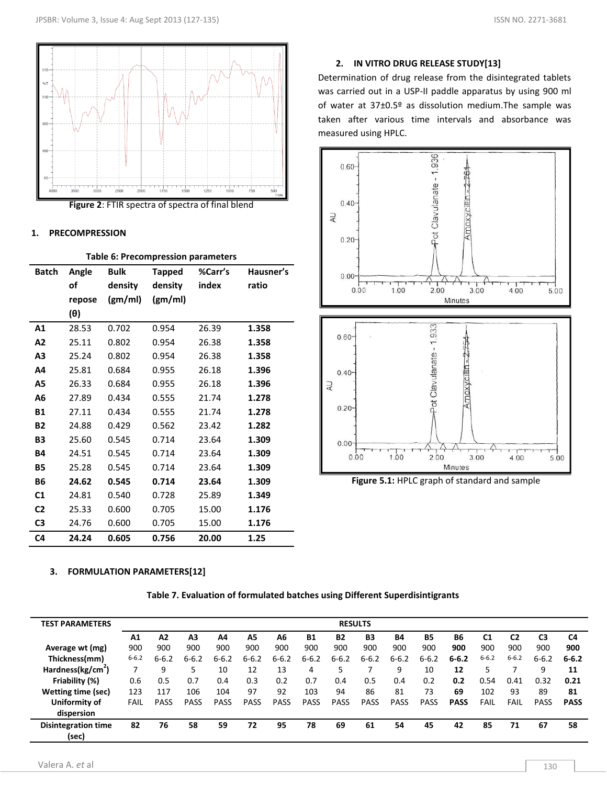



#### **1. PRECOMPRESSION**

|                |        |             |               | rable 6. Precompression parameters |           |
|----------------|--------|-------------|---------------|------------------------------------|-----------|
| <b>Batch</b>   | Angle  | <b>Bulk</b> | <b>Tapped</b> | %Carr's                            | Hausner's |
|                | of     | density     | density       | index                              | ratio     |
|                | repose | (gm/ml)     | (gm/ml)       |                                    |           |
|                | (θ)    |             |               |                                    |           |
| A <sub>1</sub> | 28.53  | 0.702       | 0.954         | 26.39                              | 1.358     |
| A2             | 25.11  | 0.802       | 0.954         | 26.38                              | 1.358     |
| A3             | 25.24  | 0.802       | 0.954         | 26.38                              | 1.358     |
| Α4             | 25.81  | 0.684       | 0.955         | 26.18                              | 1.396     |
| A5             | 26.33  | 0.684       | 0.955         | 26.18                              | 1.396     |
| А6             | 27.89  | 0.434       | 0.555         | 21.74                              | 1.278     |
| <b>B1</b>      | 27.11  | 0.434       | 0.555         | 21.74                              | 1.278     |
| <b>B2</b>      | 24.88  | 0.429       | 0.562         | 23.42                              | 1.282     |
| <b>B3</b>      | 25.60  | 0.545       | 0.714         | 23.64                              | 1.309     |
| <b>B4</b>      | 24.51  | 0.545       | 0.714         | 23.64                              | 1.309     |
| <b>B5</b>      | 25.28  | 0.545       | 0.714         | 23.64                              | 1.309     |
| <b>B6</b>      | 24.62  | 0.545       | 0.714         | 23.64                              | 1.309     |
| C1             | 24.81  | 0.540       | 0.728         | 25.89                              | 1.349     |
| C <sub>2</sub> | 25.33  | 0.600       | 0.705         | 15.00                              | 1.176     |
| C3             | 24.76  | 0.600       | 0.705         | 15.00                              | 1.176     |
| C <sub>4</sub> | 24.24  | 0.605       | 0.756         | 20.00                              | 1.25      |

#### **Table 6: Precompression parameters**

## **2. IN VITRO DRUG RELEASE STUDY[13]**

Determination of drug release from the disintegrated tablets was carried out in a USP-II paddle apparatus by using 900 ml of water at 37±0.5º as dissolution medium.The sample was taken after various time intervals and absorbance was measured using HPLC.



 **Figure 5.1:** HPLC graph of standard and sample

## **3. FORMULATION PARAMETERS[12]**

| <b>TEST PARAMETERS</b>              |           |             |                |             |             |             |             |             | <b>RESULTS</b> |             |             |             |                |           |                |             |
|-------------------------------------|-----------|-------------|----------------|-------------|-------------|-------------|-------------|-------------|----------------|-------------|-------------|-------------|----------------|-----------|----------------|-------------|
|                                     | A1        | A2          | A <sub>3</sub> | A4          | A5          | A6          | <b>B1</b>   | <b>B2</b>   | B <sub>3</sub> | <b>B4</b>   | <b>B5</b>   | <b>B6</b>   | C <sub>1</sub> | C2        | C <sub>3</sub> | C4          |
| Average wt (mg)                     | 900       | 900         | 900            | 900         | 900         | 900         | 900         | 900         | 900            | 900         | 900         | 900         | 900            | 900       | 900            | 900         |
| Thickness(mm)                       | $6 - 6.2$ | $6 - 6.2$   | $6 - 6.2$      | $6 - 6.2$   | $6 - 6.2$   | $6 - 6.2$   | $6 - 6.2$   | $6 - 6.2$   | $6 - 6.2$      | $6 - 6.2$   | $6 - 6.2$   | $6 - 6.2$   | $6 - 6.2$      | $6 - 6.2$ | $6 - 6.2$      | $6 - 6.2$   |
| Hardness(kg/cm <sup>2</sup> )       |           | 9           |                | 10          | 12          | 13          | 4           | 5           |                | 9           | 10          | 12          |                |           | 9              | 11          |
| Friability (%)                      | 0.6       | 0.5         | 0.7            | 0.4         | 0.3         | 0.2         | 0.7         | 0.4         | 0.5            | 0.4         | 0.2         | 0.2         | 0.54           | 0.41      | 0.32           | 0.21        |
| Wetting time (sec)                  | 123       | 117         | 106            | 104         | 97          | 92          | 103         | 94          | 86             | 81          | 73          | 69          | 102            | 93        | 89             | 81          |
| Uniformity of                       | FAIL      | <b>PASS</b> | PASS           | <b>PASS</b> | <b>PASS</b> | <b>PASS</b> | <b>PASS</b> | <b>PASS</b> | <b>PASS</b>    | <b>PASS</b> | <b>PASS</b> | <b>PASS</b> | <b>FAIL</b>    | FAIL      | <b>PASS</b>    | <b>PASS</b> |
| dispersion                          |           |             |                |             |             |             |             |             |                |             |             |             |                |           |                |             |
| <b>Disintegration time</b><br>(sec) | 82        | 76          | 58             | 59          | 72          | 95          | 78          | 69          | 61             | 54          | 45          | 42          | 85             | 71        | 67             | 58          |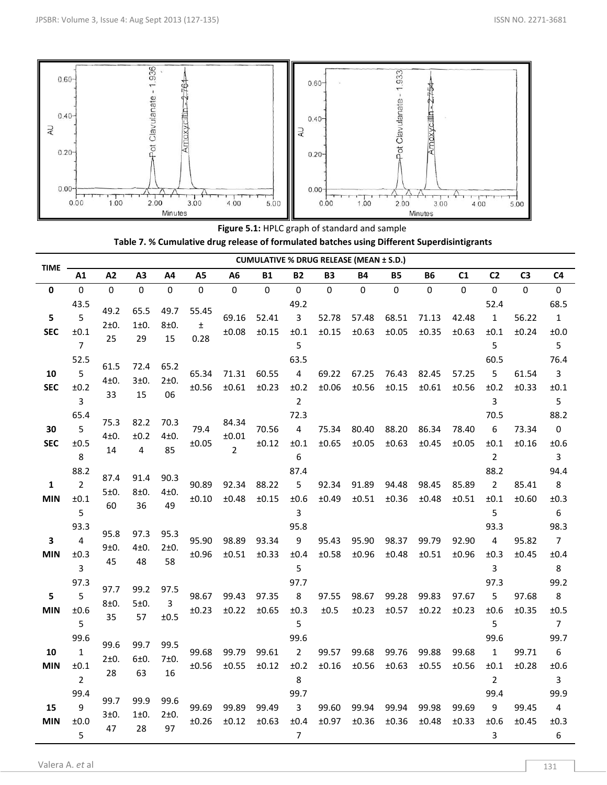

**Figure 5.1:** HPLC graph of standard and sample **Table 7. % Cumulative drug release of formulated batches using Different Superdisintigrants**

| TIME             |                                                |                         |                        |                        |                     |                                  |                |                                     |                | <b>CUMULATIVE % DRUG RELEASE (MEAN ± S.D.)</b> |                |                |                |                                                |                |                                                    |
|------------------|------------------------------------------------|-------------------------|------------------------|------------------------|---------------------|----------------------------------|----------------|-------------------------------------|----------------|------------------------------------------------|----------------|----------------|----------------|------------------------------------------------|----------------|----------------------------------------------------|
|                  | A1                                             | A2                      | A <sub>3</sub>         | A4                     | A <sub>5</sub>      | A6                               | Β1             | B2                                  | B3             | <b>B4</b>                                      | Β5             | <b>B6</b>      | C1             | C <sub>2</sub>                                 | C <sub>3</sub> | C <sub>4</sub>                                     |
| 0                | 0                                              | $\mathbf 0$             | $\pmb{0}$              | 0                      | $\mathbf 0$         | 0                                | 0              | $\mathbf 0$                         | 0              | $\mathbf 0$                                    | $\pmb{0}$      | $\mathbf 0$    | $\mathbf{0}$   | $\mathbf 0$                                    | 0              | $\pmb{0}$                                          |
| 5<br><b>SEC</b>  | 43.5<br>5<br>±0.1<br>$\overline{7}$            | 49.2<br>$2\pm 0.$<br>25 | 65.5<br>1±0.<br>29     | 49.7<br>8±0.<br>15     | 55.45<br>±.<br>0.28 | 69.16<br>±0.08                   | 52.41<br>±0.15 | 49.2<br>3<br>±0.1<br>5              | 52.78<br>±0.15 | 57.48<br>±0.63                                 | 68.51<br>±0.05 | 71.13<br>±0.35 | 42.48<br>±0.63 | 52.4<br>$\mathbf{1}$<br>±0.1<br>5              | 56.22<br>±0.24 | 68.5<br>$\mathbf{1}$<br>±0.0<br>5                  |
| 10<br><b>SEC</b> | 52.5<br>5<br>±0.2<br>$\overline{3}$            | 61.5<br>4±0.<br>33      | 72.4<br>3±0.<br>15     | 65.2<br>2±0.<br>06     | 65.34<br>±0.56      | 71.31<br>±0.61                   | 60.55<br>±0.23 | 63.5<br>4<br>±0.2<br>$\overline{2}$ | 69.22<br>±0.06 | 67.25<br>±0.56                                 | 76.43<br>±0.15 | 82.45<br>±0.61 | 57.25<br>±0.56 | 60.5<br>5<br>±0.2<br>3                         | 61.54<br>±0.33 | 76.4<br>3<br>±0.1<br>5                             |
| 30<br><b>SEC</b> | 65.4<br>5<br>±0.5<br>8                         | 75.3<br>$4\pm0.$<br>14  | 82.2<br>±0.2<br>4      | 70.3<br>$4\pm0.$<br>85 | 79.4<br>±0.05       | 84.34<br>±0.01<br>$\overline{2}$ | 70.56<br>±0.12 | 72.3<br>4<br>±0.1<br>6              | 75.34<br>±0.65 | 80.40<br>±0.05                                 | 88.20<br>±0.63 | 86.34<br>±0.45 | 78.40<br>±0.05 | 70.5<br>6<br>±0.1<br>$\overline{2}$            | 73.34<br>±0.16 | 88.2<br>$\pmb{0}$<br>±0.6<br>$\overline{3}$        |
| 1<br><b>MIN</b>  | 88.2<br>$\overline{2}$<br>±0.1<br>5            | 87.4<br>5±0.<br>60      | 91.4<br>8±0.<br>36     | 90.3<br>4±0.<br>49     | 90.89<br>±0.10      | 92.34<br>±0.48                   | 88.22<br>±0.15 | 87.4<br>5<br>±0.6<br>3              | 92.34<br>±0.49 | 91.89<br>±0.51                                 | 94.48<br>±0.36 | 98.45<br>±0.48 | 85.89<br>±0.51 | 88.2<br>$\overline{2}$<br>±0.1<br>5            | 85.41<br>±0.60 | 94.4<br>8<br>±0.3<br>6                             |
| 3<br><b>MIN</b>  | 93.3<br>4<br>±0.3<br>$\overline{3}$            | 95.8<br>9±0.<br>45      | 97.3<br>$4\pm0.$<br>48 | 95.3<br>2±0.<br>58     | 95.90<br>±0.96      | 98.89<br>±0.51                   | 93.34<br>±0.33 | 95.8<br>9<br>±0.4<br>5              | 95.43<br>±0.58 | 95.90<br>±0.96                                 | 98.37<br>±0.48 | 99.79<br>±0.51 | 92.90<br>±0.96 | 93.3<br>4<br>±0.3<br>3                         | 95.82<br>±0.45 | 98.3<br>$\overline{7}$<br>±0.4<br>8                |
| 5<br><b>MIN</b>  | 97.3<br>5<br>±0.6<br>5                         | 97.7<br>8±0.<br>35      | 99.2<br>5±0.<br>57     | 97.5<br>3<br>±0.5      | 98.67<br>±0.23      | 99.43<br>±0.22                   | 97.35<br>±0.65 | 97.7<br>8<br>±0.3<br>5              | 97.55<br>±0.5  | 98.67<br>±0.23                                 | 99.28<br>±0.57 | 99.83<br>±0.22 | 97.67<br>±0.23 | 97.3<br>5<br>±0.6<br>5                         | 97.68<br>±0.35 | 99.2<br>8<br>±0.5<br>$\overline{7}$                |
| 10<br><b>MIN</b> | 99.6<br>$\mathbf{1}$<br>±0.1<br>$\overline{2}$ | 99.6<br>2±0.<br>28      | 99.7<br>6±0.<br>63     | 99.5<br>7±0.<br>16     | 99.68<br>±0.56      | 99.79<br>±0.55                   | 99.61<br>±0.12 | 99.6<br>$\overline{2}$<br>±0.2<br>8 | 99.57<br>±0.16 | 99.68<br>±0.56                                 | 99.76<br>±0.63 | 99.88<br>±0.55 | 99.68<br>±0.56 | 99.6<br>$\mathbf{1}$<br>±0.1<br>$\overline{2}$ | 99.71<br>±0.28 | 99.7<br>$\boldsymbol{6}$<br>±0.6<br>$\overline{3}$ |
| 15<br><b>MIN</b> | 99.4<br>9<br>±0.0<br>5                         | 99.7<br>3±0.<br>47      | 99.9<br>1±0.<br>28     | 99.6<br>2±0.<br>97     | 99.69<br>±0.26      | 99.89<br>±0.12                   | 99.49<br>±0.63 | 99.7<br>3<br>±0.4<br>$\overline{7}$ | 99.60<br>±0.97 | 99.94<br>±0.36                                 | 99.94<br>±0.36 | 99.98<br>±0.48 | 99.69<br>±0.33 | 99.4<br>9<br>±0.6<br>3                         | 99.45<br>±0.45 | 99.9<br>4<br>±0.3<br>$\boldsymbol{6}$              |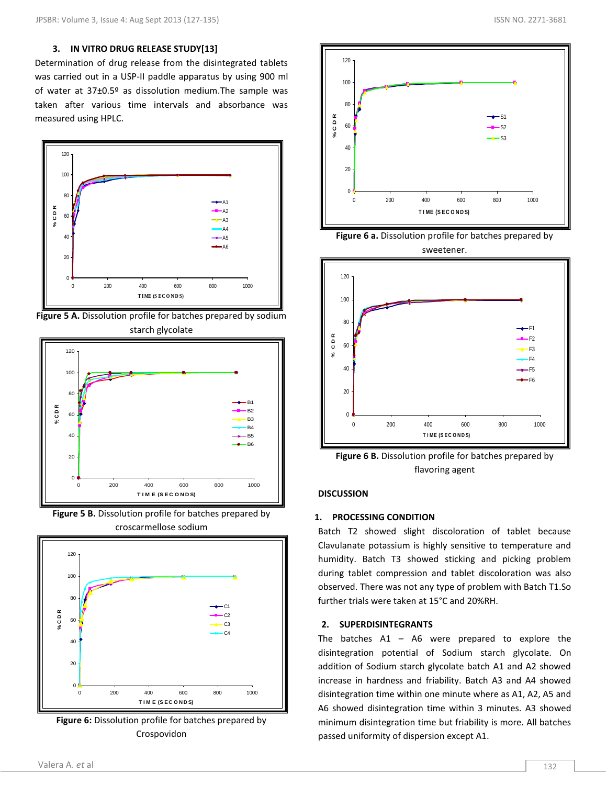## **3. IN VITRO DRUG RELEASE STUDY[13]**

Determination of drug release from the disintegrated tablets was carried out in a USP-II paddle apparatus by using 900 ml of water at 37±0.5º as dissolution medium.The sample was taken after various time intervals and absorbance was measured using HPLC.



**Figure 5 A.** Dissolution profile for batches prepared by sodium starch glycolate



**Figure 5 B.** Dissolution profile for batches prepared by croscarmellose sodium



**Figure 6:** Dissolution profile for batches prepared by Crospovidon



**Figure 6 a.** Dissolution profile for batches prepared by sweetener.



**Figure 6 B.** Dissolution profile for batches prepared by flavoring agent

## **DISCUSSION**

## **1. PROCESSING CONDITION**

Batch T2 showed slight discoloration of tablet because Clavulanate potassium is highly sensitive to temperature and humidity. Batch T3 showed sticking and picking problem during tablet compression and tablet discoloration was also observed. There was not any type of problem with Batch T1.So further trials were taken at 15°C and 20%RH.

## **2. SUPERDISINTEGRANTS**

The batches  $A1 - A6$  were prepared to explore the disintegration potential of Sodium starch glycolate. On addition of Sodium starch glycolate batch A1 and A2 showed increase in hardness and friability. Batch A3 and A4 showed disintegration time within one minute where as A1, A2, A5 and A6 showed disintegration time within 3 minutes. A3 showed minimum disintegration time but friability is more. All batches passed uniformity of dispersion except A1.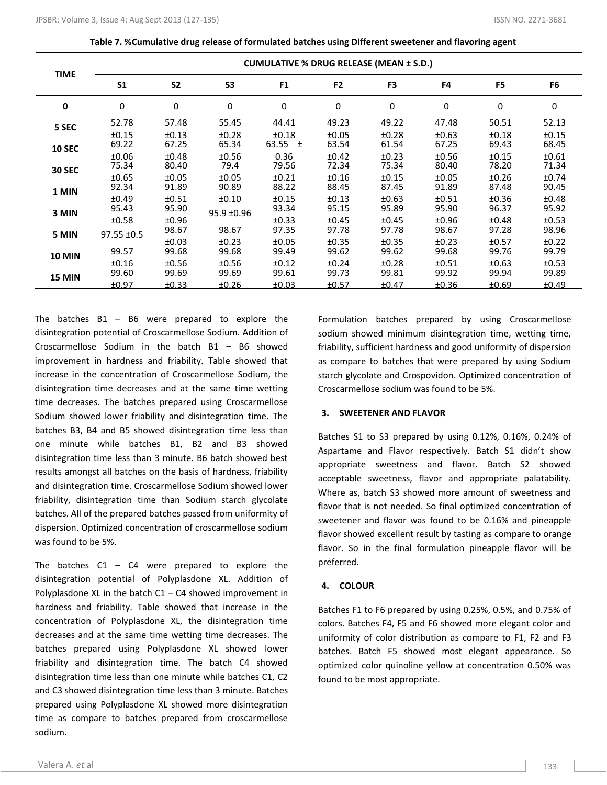**Table 7. %Cumulative drug release of formulated batches using Different sweetener and flavoring agent**

|               |                          |                | <b>CUMULATIVE % DRUG RELEASE (MEAN ± S.D.)</b> |                      |                |                |                |                |                |  |  |  |  |  |
|---------------|--------------------------|----------------|------------------------------------------------|----------------------|----------------|----------------|----------------|----------------|----------------|--|--|--|--|--|
| <b>TIME</b>   | S <sub>1</sub>           | <b>S2</b>      | S <sub>3</sub>                                 | F <sub>1</sub>       | F <sub>2</sub> | F <sub>3</sub> | F4             | F <sub>5</sub> | F6             |  |  |  |  |  |
| 0             | 0                        | $\mathbf 0$    | 0                                              | 0                    | 0              | 0              | $\mathbf 0$    | 0              | 0              |  |  |  |  |  |
| 5 SEC         | 52.78                    | 57.48          | 55.45                                          | 44.41                | 49.23          | 49.22          | 47.48          | 50.51          | 52.13          |  |  |  |  |  |
| <b>10 SEC</b> | ±0.15<br>69.22           | ±0.13<br>67.25 | ±0.28<br>65.34                                 | ±0.18<br>63.55 $\pm$ | ±0.05<br>63.54 | ±0.28<br>61.54 | ±0.63<br>67.25 | ±0.18<br>69.43 | ±0.15<br>68.45 |  |  |  |  |  |
|               | ±0.06                    | ±0.48          | ±0.56                                          | 0.36                 | ±0.42          | ±0.23          | ±0.56          | ±0.15          | ±0.61          |  |  |  |  |  |
| <b>30 SEC</b> | 75.34                    | 80.40          | 79.4                                           | 79.56                | 72.34          | 75.34          | 80.40          | 78.20          | 71.34          |  |  |  |  |  |
| 1 MIN         | ±0.65<br>92.34           | ±0.05<br>91.89 | ±0.05<br>90.89                                 | ±0.21<br>88.22       | ±0.16<br>88.45 | ±0.15<br>87.45 | ±0.05<br>91.89 | ±0.26<br>87.48 | ±0.74<br>90.45 |  |  |  |  |  |
|               | ±0.49                    | ±0.51          | ±0.10                                          | ±0.15                | ±0.13          | ±0.63          | ±0.51          | ±0.36          | ±0.48          |  |  |  |  |  |
| 3 MIN         | 95.43                    | 95.90          | 95.9 ±0.96                                     | 93.34                | 95.15          | 95.89          | 95.90          | 96.37          | 95.92          |  |  |  |  |  |
| 5 MIN         | ±0.58<br>$97.55 \pm 0.5$ | ±0.96<br>98.67 | 98.67                                          | ±0.33<br>97.35       | ±0.45<br>97.78 | ±0.45<br>97.78 | ±0.96<br>98.67 | ±0.48<br>97.28 | ±0.53<br>98.96 |  |  |  |  |  |
|               |                          | ±0.03          | ±0.23                                          | ±0.05                | ±0.35          | ±0.35          | ±0.23          | ±0.57          | ±0.22          |  |  |  |  |  |
| <b>10 MIN</b> | 99.57                    | 99.68          | 99.68                                          | 99.49                | 99.62          | 99.62          | 99.68          | 99.76          | 99.79          |  |  |  |  |  |
| <b>15 MIN</b> | ±0.16<br>99.60           | ±0.56<br>99.69 | ±0.56<br>99.69                                 | ±0.12<br>99.61       | ±0.24<br>99.73 | ±0.28<br>99.81 | ±0.51<br>99.92 | ±0.63<br>99.94 | ±0.53<br>99.89 |  |  |  |  |  |
|               | ±0.97                    | ±0.33          | ±0.26                                          | ±0.03                | ±0.57          | ±0.47          | ±0.36          | ±0.69          | ±0.49          |  |  |  |  |  |

The batches  $B1 - B6$  were prepared to explore the disintegration potential of Croscarmellose Sodium. Addition of Croscarmellose Sodium in the batch B1 – B6 showed improvement in hardness and friability. Table showed that increase in the concentration of Croscarmellose Sodium, the disintegration time decreases and at the same time wetting time decreases. The batches prepared using Croscarmellose Sodium showed lower friability and disintegration time. The batches B3, B4 and B5 showed disintegration time less than one minute while batches B1, B2 and B3 showed disintegration time less than 3 minute. B6 batch showed best results amongst all batches on the basis of hardness, friability and disintegration time. Croscarmellose Sodium showed lower friability, disintegration time than Sodium starch glycolate batches. All of the prepared batches passed from uniformity of dispersion. Optimized concentration of croscarmellose sodium was found to be 5%.

The batches  $C1 - C4$  were prepared to explore the disintegration potential of Polyplasdone XL. Addition of Polyplasdone XL in the batch  $C1 - C4$  showed improvement in hardness and friability. Table showed that increase in the concentration of Polyplasdone XL, the disintegration time decreases and at the same time wetting time decreases. The batches prepared using Polyplasdone XL showed lower friability and disintegration time. The batch C4 showed disintegration time less than one minute while batches C1, C2 and C3 showed disintegration time less than 3 minute. Batches prepared using Polyplasdone XL showed more disintegration time as compare to batches prepared from croscarmellose sodium.

Formulation batches prepared by using Croscarmellose sodium showed minimum disintegration time, wetting time, friability, sufficient hardness and good uniformity of dispersion as compare to batches that were prepared by using Sodium starch glycolate and Crospovidon. Optimized concentration of Croscarmellose sodium was found to be 5%.

## **3. SWEETENER AND FLAVOR**

Batches S1 to S3 prepared by using 0.12%, 0.16%, 0.24% of Aspartame and Flavor respectively. Batch S1 didn't show appropriate sweetness and flavor. Batch S2 showed acceptable sweetness, flavor and appropriate palatability. Where as, batch S3 showed more amount of sweetness and flavor that is not needed. So final optimized concentration of sweetener and flavor was found to be 0.16% and pineapple flavor showed excellent result by tasting as compare to orange flavor. So in the final formulation pineapple flavor will be preferred.

## **4. COLOUR**

Batches F1 to F6 prepared by using 0.25%, 0.5%, and 0.75% of colors. Batches F4, F5 and F6 showed more elegant color and uniformity of color distribution as compare to F1, F2 and F3 batches. Batch F5 showed most elegant appearance. So optimized color quinoline yellow at concentration 0.50% was found to be most appropriate.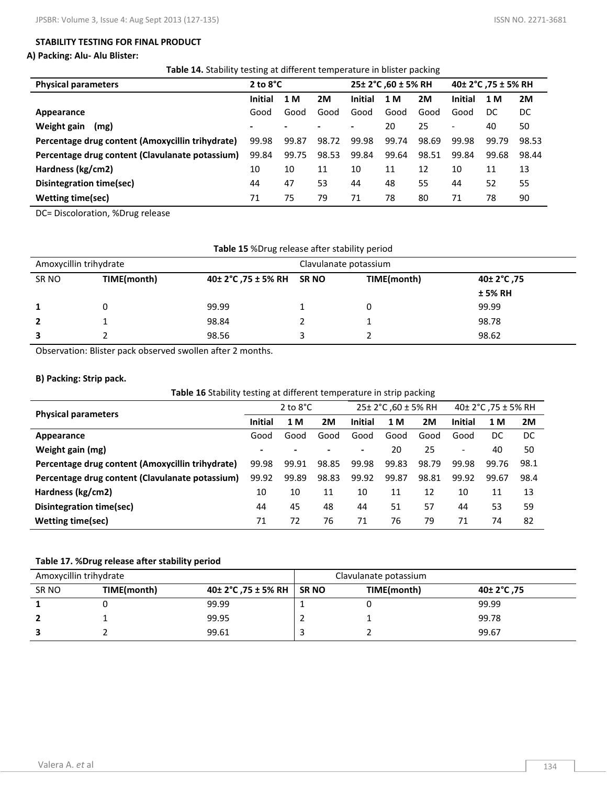## **STABILITY TESTING FOR FINAL PRODUCT**

## **A) Packing: Alu- Alu Blister:**

**Table 14.** Stability testing at different temperature in blister packing

| <b>Physical parameters</b>                       | 2 to $8^{\circ}$ C |       |       |                | 25± 2°C, 60 ± 5% RH |       | 40± 2°C ,75 ± 5% RH |       |       |
|--------------------------------------------------|--------------------|-------|-------|----------------|---------------------|-------|---------------------|-------|-------|
|                                                  | <b>Initial</b>     | 1 M   | 2M    | <b>Initial</b> | 1 M                 | 2M    | <b>Initial</b>      | 1 M   | 2M    |
| Appearance                                       | Good               | Good  | Good  | Good           | Good                | Good  | Good                | DC    | DC    |
| Weight gain<br>(mg)                              |                    |       |       | ٠              | 20                  | 25    | -                   | 40    | 50    |
| Percentage drug content (Amoxycillin trihydrate) | 99.98              | 99.87 | 98.72 | 99.98          | 99.74               | 98.69 | 99.98               | 99.79 | 98.53 |
| Percentage drug content (Clavulanate potassium)  | 99.84              | 99.75 | 98.53 | 99.84          | 99.64               | 98.51 | 99.84               | 99.68 | 98.44 |
| Hardness (kg/cm2)                                | 10                 | 10    | 11    | 10             | 11                  | 12    | 10                  | 11    | 13    |
| Disintegration time(sec)                         | 44                 | 47    | 53    | 44             | 48                  | 55    | 44                  | 52    | 55    |
| <b>Wetting time(sec)</b>                         | 71                 | 75    | 79    | 71             | 78                  | 80    | 71                  | 78    | 90    |

DC= Discoloration, %Drug release

| Table 15 %Drug release after stability period |             |                           |  |             |             |  |  |
|-----------------------------------------------|-------------|---------------------------|--|-------------|-------------|--|--|
| Amoxycillin trihydrate                        |             | Clavulanate potassium     |  |             |             |  |  |
| SR NO                                         | TIME(month) | 40± 2°C, 75 ± 5% RH SR NO |  | TIME(month) | 40± 2°C ,75 |  |  |
|                                               |             |                           |  |             | ± 5% RH     |  |  |
|                                               |             | 99.99                     |  |             | 99.99       |  |  |
| 2                                             |             | 98.84                     |  |             | 98.78       |  |  |
|                                               |             | 98.56                     |  |             | 98.62       |  |  |

Observation: Blister pack observed swollen after 2 months.

## **B) Packing: Strip pack.**

| <b>Physical parameters</b>                       |                | 2 to $8^{\circ}$ C |       | 25± 2°C, 60 ± 5% RH |       | 40± 2°C, 75 ± 5% RH |                          |       |      |
|--------------------------------------------------|----------------|--------------------|-------|---------------------|-------|---------------------|--------------------------|-------|------|
|                                                  |                | 1 M                | 2M    | <b>Initial</b>      | 1 M   | 2M                  | <b>Initial</b>           | 1 M   | 2M   |
| Appearance                                       | Good           | Good               | Good  | Good                | Good  | Good                | Good                     | DC    | DC   |
| Weight gain (mg)                                 | $\blacksquare$ | $\blacksquare$     |       | ۰.                  | 20    | 25                  | $\overline{\phantom{a}}$ | 40    | 50   |
| Percentage drug content (Amoxycillin trihydrate) | 99.98          | 99.91              | 98.85 | 99.98               | 99.83 | 98.79               | 99.98                    | 99.76 | 98.1 |
| Percentage drug content (Clavulanate potassium)  |                | 99.89              | 98.83 | 99.92               | 99.87 | 98.81               | 99.92                    | 99.67 | 98.4 |
| Hardness (kg/cm2)                                | 10             | 10                 | 11    | 10                  | 11    | 12                  | 10                       | 11    | 13   |
| Disintegration time(sec)                         |                | 45                 | 48    | 44                  | 51    | 57                  | 44                       | 53    | 59   |
| <b>Wetting time(sec)</b>                         |                | 72                 | 76    | 71                  | 76    | 79                  | 71                       | 74    | 82   |

## **Table 17. %Drug release after stability period**

| Amoxycillin trihydrate |             |                     |             | Clavulanate potassium |             |
|------------------------|-------------|---------------------|-------------|-----------------------|-------------|
| SR NO                  | TIME(month) | 40± 2°C, 75 ± 5% RH | <b>SRNO</b> | TIME(month)           | 75, 40± 2°C |
|                        |             | 99.99               |             |                       | 99.99       |
|                        |             | 99.95               |             |                       | 99.78       |
|                        |             | 99.61               |             |                       | 99.67       |